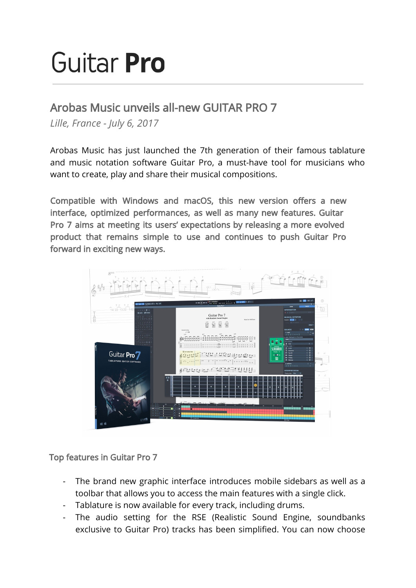# Guitar **Pro**

## Arobas Music unveils all-new GUITAR PRO 7

*Lille, France - July 6, 2017*

Arobas Music has just launched the 7th generation of their famous tablature and music notation software Guitar Pro, a must-have tool for musicians who want to create, play and share their musical compositions.

Compatible with Windows and macOS, this new version offers a new interface, optimized performances, as well as many new features. Guitar Pro 7 aims at meeting its users' expectations by releasing a more evolved product that remains simple to use and continues to push Guitar Pro forward in exciting new ways.



Top features in Guitar Pro 7

- The brand new graphic interface introduces mobile sidebars as well as a toolbar that allows you to access the main features with a single click.
- Tablature is now available for every track, including drums.
- The audio setting for the RSE (Realistic Sound Engine, soundbanks exclusive to Guitar Pro) tracks has been simplified. You can now choose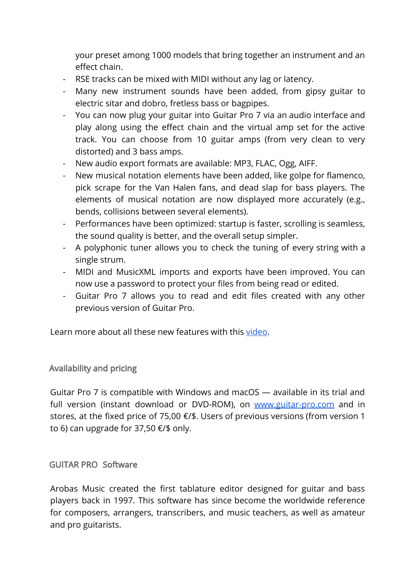your preset among 1000 models that bring together an instrument and an effect chain.

- RSE tracks can be mixed with MIDI without any lag or latency.
- Many new instrument sounds have been added, from gipsy guitar to electric sitar and dobro, fretless bass or bagpipes.
- You can now plug your guitar into Guitar Pro 7 via an audio interface and play along using the effect chain and the virtual amp set for the active track. You can choose from 10 guitar amps (from very clean to very distorted) and 3 bass amps.
- New audio export formats are available: MP3, FLAC, Ogg, AIFF.
- New musical notation elements have been added, like golpe for flamenco, pick scrape for the Van Halen fans, and dead slap for bass players. The elements of musical notation are now displayed more accurately (e.g., bends, collisions between several elements).
- Performances have been optimized: startup is faster, scrolling is seamless, the sound quality is better, and the overall setup simpler.
- A polyphonic tuner allows you to check the tuning of every string with a single strum.
- MIDI and MusicXML imports and exports have been improved. You can now use a password to protect your files from being read or edited.
- Guitar Pro 7 allows you to read and edit files created with any other previous version of Guitar Pro.

Learn more about all these new features with this [video.](https://youtu.be/ZNpHLfbAy7Q)

### Availability and pricing

Guitar Pro 7 is compatible with Windows and macOS — available in its trial and full version (instant download or DVD-ROM), on [www.guitar-pro.com](http://www.guitar-pro.com/) and in stores, at the fixed price of 75,00 €/\$. Users of previous versions (from version 1 to 6) can upgrade for 37,50 €/\$ only.

#### GUITAR PRO Software

Arobas Music created the first tablature editor designed for guitar and bass players back in 1997. This software has since become the worldwide reference for composers, arrangers, transcribers, and music teachers, as well as amateur and pro guitarists.